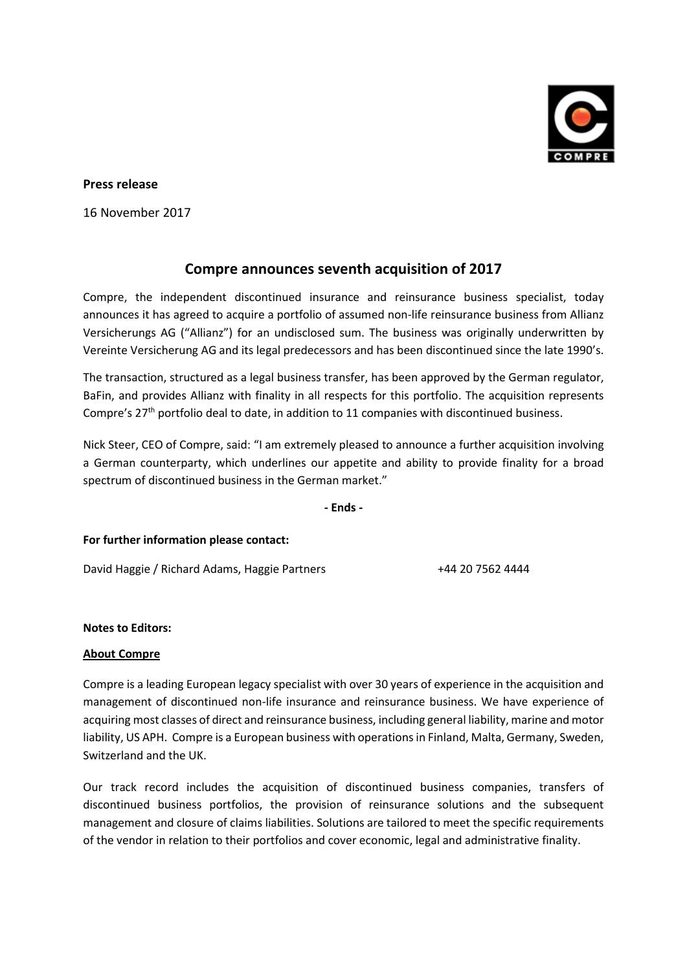

## **Press release**

16 November 2017

## **Compre announces seventh acquisition of 2017**

Compre, the independent discontinued insurance and reinsurance business specialist, today announces it has agreed to acquire a portfolio of assumed non-life reinsurance business from Allianz Versicherungs AG ("Allianz") for an undisclosed sum. The business was originally underwritten by Vereinte Versicherung AG and its legal predecessors and has been discontinued since the late 1990's.

The transaction, structured as a legal business transfer, has been approved by the German regulator, BaFin, and provides Allianz with finality in all respects for this portfolio. The acquisition represents Compre's 27<sup>th</sup> portfolio deal to date, in addition to 11 companies with discontinued business.

Nick Steer, CEO of Compre, said: "I am extremely pleased to announce a further acquisition involving a German counterparty, which underlines our appetite and ability to provide finality for a broad spectrum of discontinued business in the German market."

**- Ends -**

**For further information please contact:**

David Haggie / Richard Adams, Haggie Partners +44 20 7562 4444

## **Notes to Editors:**

## **About Compre**

Compre is a leading European legacy specialist with over 30 years of experience in the acquisition and management of discontinued non-life insurance and reinsurance business. We have experience of acquiring most classes of direct and reinsurance business, including general liability, marine and motor liability, US APH. Compre is a European business with operations in Finland, Malta, Germany, Sweden, Switzerland and the UK.

Our track record includes the acquisition of discontinued business companies, transfers of discontinued business portfolios, the provision of reinsurance solutions and the subsequent management and closure of claims liabilities. Solutions are tailored to meet the specific requirements of the vendor in relation to their portfolios and cover economic, legal and administrative finality.